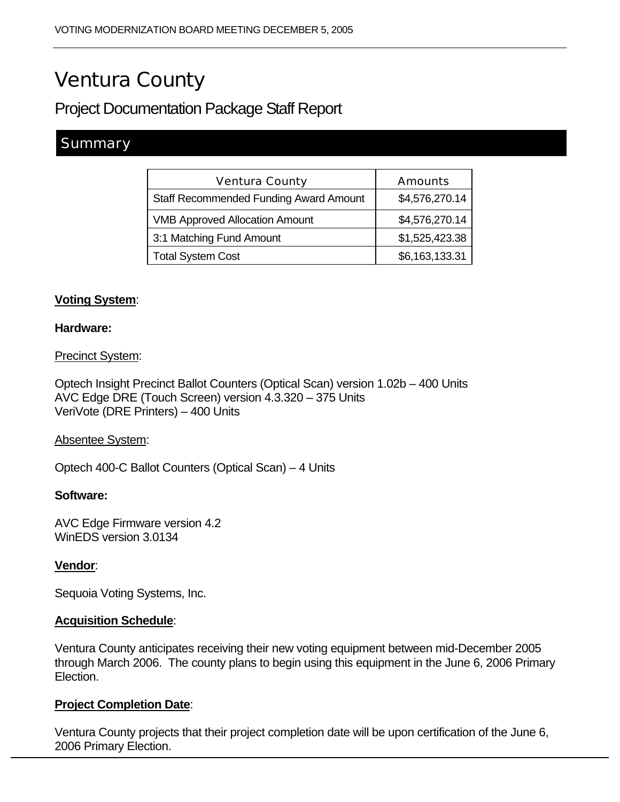# Ventura County

Project Documentation Package Staff Report

# **Summary**

| <b>Ventura County</b>                         | <b>Amounts</b> |
|-----------------------------------------------|----------------|
| <b>Staff Recommended Funding Award Amount</b> | \$4,576,270.14 |
| <b>VMB Approved Allocation Amount</b>         | \$4,576,270.14 |
| 3:1 Matching Fund Amount                      | \$1,525,423.38 |
| <b>Total System Cost</b>                      | \$6,163,133.31 |

# **Voting System**:

#### **Hardware:**

#### Precinct System:

Optech Insight Precinct Ballot Counters (Optical Scan) version 1.02b – 400 Units AVC Edge DRE (Touch Screen) version 4.3.320 – 375 Units VeriVote (DRE Printers) – 400 Units

#### Absentee System:

Optech 400-C Ballot Counters (Optical Scan) – 4 Units

#### **Software:**

AVC Edge Firmware version 4.2 WinEDS version 3.0134

### **Vendor**:

Sequoia Voting Systems, Inc.

#### **Acquisition Schedule**:

Ventura County anticipates receiving their new voting equipment between mid-December 2005 through March 2006. The county plans to begin using this equipment in the June 6, 2006 Primary Election.

### **Project Completion Date**:

Ventura County projects that their project completion date will be upon certification of the June 6, 2006 Primary Election.